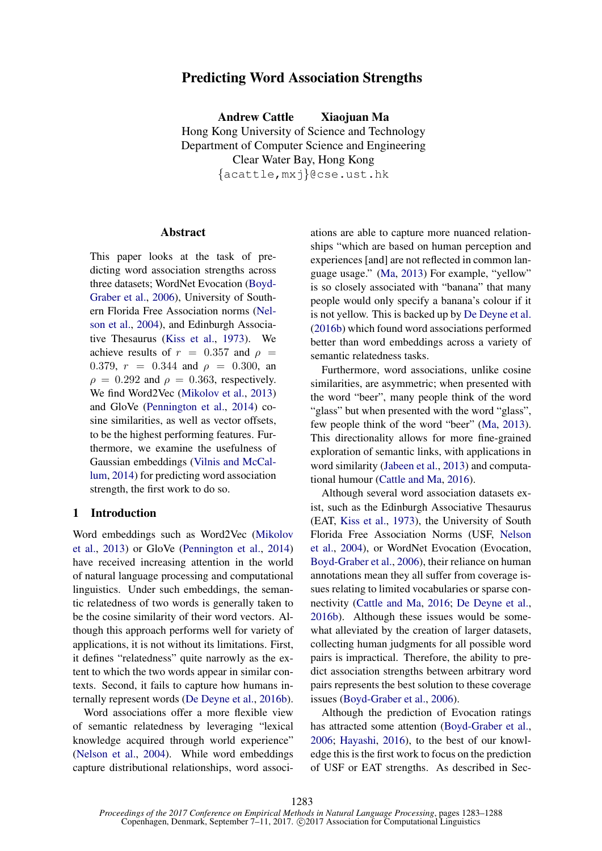# Predicting Word Association Strengths

Andrew Cattle Xiaojuan Ma Hong Kong University of Science and Technology Department of Computer Science and Engineering Clear Water Bay, Hong Kong {acattle,mxj}@cse.ust.hk

## Abstract

This paper looks at the task of predicting word association strengths across three datasets; WordNet Evocation (Boyd-Graber et al., 2006), University of Southern Florida Free Association norms (Nelson et al., 2004), and Edinburgh Associative Thesaurus (Kiss et al., 1973). We achieve results of  $r = 0.357$  and  $\rho =$ 0.379,  $r = 0.344$  and  $\rho = 0.300$ , an  $\rho = 0.292$  and  $\rho = 0.363$ , respectively. We find Word2Vec (Mikolov et al., 2013) and GloVe (Pennington et al., 2014) cosine similarities, as well as vector offsets, to be the highest performing features. Furthermore, we examine the usefulness of Gaussian embeddings (Vilnis and McCallum, 2014) for predicting word association strength, the first work to do so.

## 1 Introduction

Word embeddings such as Word2Vec (Mikolov et al., 2013) or GloVe (Pennington et al., 2014) have received increasing attention in the world of natural language processing and computational linguistics. Under such embeddings, the semantic relatedness of two words is generally taken to be the cosine similarity of their word vectors. Although this approach performs well for variety of applications, it is not without its limitations. First, it defines "relatedness" quite narrowly as the extent to which the two words appear in similar contexts. Second, it fails to capture how humans internally represent words (De Deyne et al., 2016b).

Word associations offer a more flexible view of semantic relatedness by leveraging "lexical knowledge acquired through world experience" (Nelson et al., 2004). While word embeddings capture distributional relationships, word associ-

ations are able to capture more nuanced relationships "which are based on human perception and experiences [and] are not reflected in common language usage." (Ma, 2013) For example, "yellow" is so closely associated with "banana" that many people would only specify a banana's colour if it is not yellow. This is backed up by De Deyne et al. (2016b) which found word associations performed better than word embeddings across a variety of semantic relatedness tasks.

Furthermore, word associations, unlike cosine similarities, are asymmetric; when presented with the word "beer", many people think of the word "glass" but when presented with the word "glass", few people think of the word "beer" (Ma, 2013). This directionality allows for more fine-grained exploration of semantic links, with applications in word similarity (Jabeen et al., 2013) and computational humour (Cattle and Ma, 2016).

Although several word association datasets exist, such as the Edinburgh Associative Thesaurus (EAT, Kiss et al., 1973), the University of South Florida Free Association Norms (USF, Nelson et al., 2004), or WordNet Evocation (Evocation, Boyd-Graber et al., 2006), their reliance on human annotations mean they all suffer from coverage issues relating to limited vocabularies or sparse connectivity (Cattle and Ma, 2016; De Deyne et al., 2016b). Although these issues would be somewhat alleviated by the creation of larger datasets, collecting human judgments for all possible word pairs is impractical. Therefore, the ability to predict association strengths between arbitrary word pairs represents the best solution to these coverage issues (Boyd-Graber et al., 2006).

Although the prediction of Evocation ratings has attracted some attention (Boyd-Graber et al., 2006; Hayashi, 2016), to the best of our knowledge this is the first work to focus on the prediction of USF or EAT strengths. As described in Sec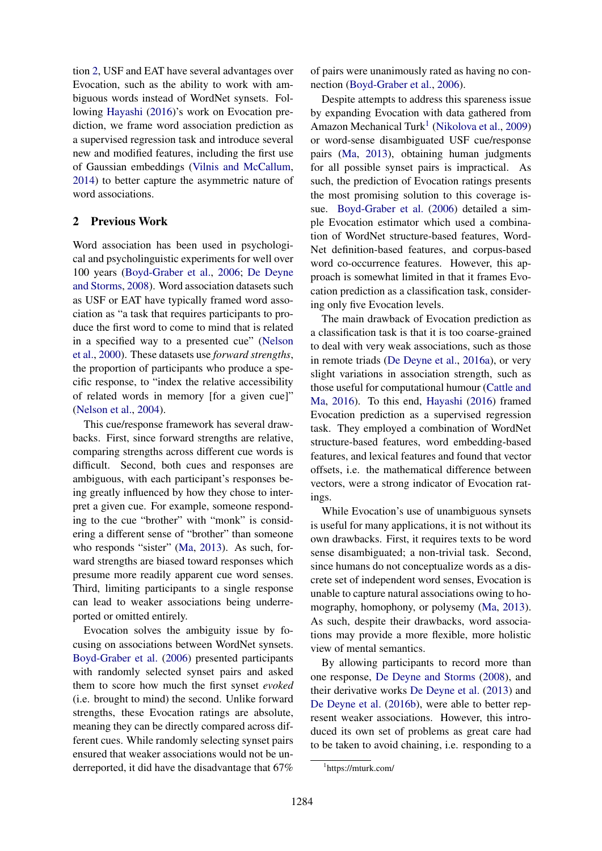tion 2, USF and EAT have several advantages over Evocation, such as the ability to work with ambiguous words instead of WordNet synsets. Following Hayashi (2016)'s work on Evocation prediction, we frame word association prediction as a supervised regression task and introduce several new and modified features, including the first use of Gaussian embeddings (Vilnis and McCallum, 2014) to better capture the asymmetric nature of word associations.

# 2 Previous Work

Word association has been used in psychological and psycholinguistic experiments for well over 100 years (Boyd-Graber et al., 2006; De Deyne and Storms, 2008). Word association datasets such as USF or EAT have typically framed word association as "a task that requires participants to produce the first word to come to mind that is related in a specified way to a presented cue" (Nelson et al., 2000). These datasets use *forward strengths*, the proportion of participants who produce a specific response, to "index the relative accessibility of related words in memory [for a given cue]" (Nelson et al., 2004).

This cue/response framework has several drawbacks. First, since forward strengths are relative, comparing strengths across different cue words is difficult. Second, both cues and responses are ambiguous, with each participant's responses being greatly influenced by how they chose to interpret a given cue. For example, someone responding to the cue "brother" with "monk" is considering a different sense of "brother" than someone who responds "sister" (Ma, 2013). As such, forward strengths are biased toward responses which presume more readily apparent cue word senses. Third, limiting participants to a single response can lead to weaker associations being underreported or omitted entirely.

Evocation solves the ambiguity issue by focusing on associations between WordNet synsets. Boyd-Graber et al. (2006) presented participants with randomly selected synset pairs and asked them to score how much the first synset *evoked* (i.e. brought to mind) the second. Unlike forward strengths, these Evocation ratings are absolute, meaning they can be directly compared across different cues. While randomly selecting synset pairs ensured that weaker associations would not be underreported, it did have the disadvantage that 67% of pairs were unanimously rated as having no connection (Boyd-Graber et al., 2006).

Despite attempts to address this spareness issue by expanding Evocation with data gathered from Amazon Mechanical Turk<sup>1</sup> (Nikolova et al., 2009) or word-sense disambiguated USF cue/response pairs (Ma, 2013), obtaining human judgments for all possible synset pairs is impractical. As such, the prediction of Evocation ratings presents the most promising solution to this coverage issue. Boyd-Graber et al. (2006) detailed a simple Evocation estimator which used a combination of WordNet structure-based features, Word-Net definition-based features, and corpus-based word co-occurrence features. However, this approach is somewhat limited in that it frames Evocation prediction as a classification task, considering only five Evocation levels.

The main drawback of Evocation prediction as a classification task is that it is too coarse-grained to deal with very weak associations, such as those in remote triads (De Deyne et al., 2016a), or very slight variations in association strength, such as those useful for computational humour (Cattle and Ma, 2016). To this end, Hayashi (2016) framed Evocation prediction as a supervised regression task. They employed a combination of WordNet structure-based features, word embedding-based features, and lexical features and found that vector offsets, i.e. the mathematical difference between vectors, were a strong indicator of Evocation ratings.

While Evocation's use of unambiguous synsets is useful for many applications, it is not without its own drawbacks. First, it requires texts to be word sense disambiguated; a non-trivial task. Second, since humans do not conceptualize words as a discrete set of independent word senses, Evocation is unable to capture natural associations owing to homography, homophony, or polysemy (Ma, 2013). As such, despite their drawbacks, word associations may provide a more flexible, more holistic view of mental semantics.

By allowing participants to record more than one response, De Deyne and Storms (2008), and their derivative works De Deyne et al. (2013) and De Deyne et al. (2016b), were able to better represent weaker associations. However, this introduced its own set of problems as great care had to be taken to avoid chaining, i.e. responding to a

<sup>1</sup> https://mturk.com/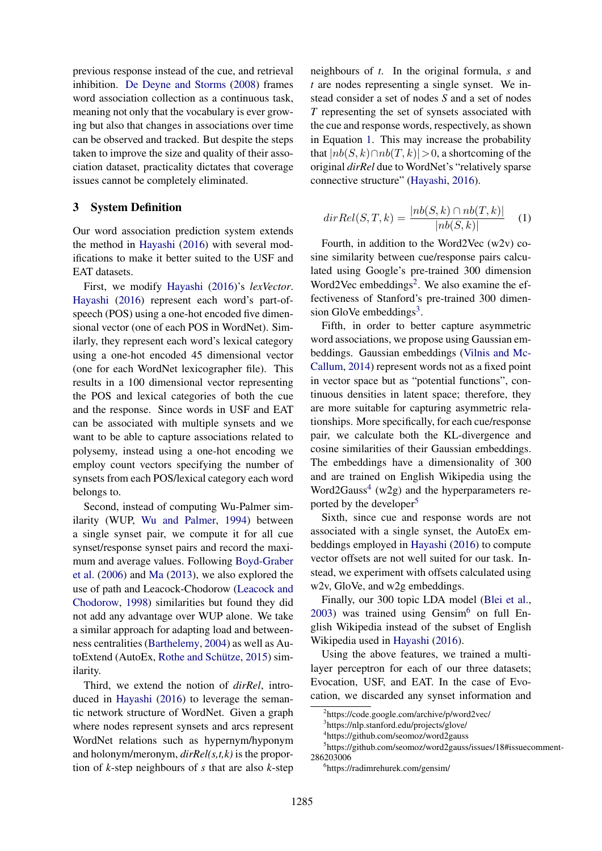previous response instead of the cue, and retrieval inhibition. De Deyne and Storms (2008) frames word association collection as a continuous task, meaning not only that the vocabulary is ever growing but also that changes in associations over time can be observed and tracked. But despite the steps taken to improve the size and quality of their association dataset, practicality dictates that coverage issues cannot be completely eliminated.

#### 3 System Definition

Our word association prediction system extends the method in Hayashi (2016) with several modifications to make it better suited to the USF and EAT datasets.

First, we modify Hayashi (2016)'s *lexVector*. Hayashi (2016) represent each word's part-ofspeech (POS) using a one-hot encoded five dimensional vector (one of each POS in WordNet). Similarly, they represent each word's lexical category using a one-hot encoded 45 dimensional vector (one for each WordNet lexicographer file). This results in a 100 dimensional vector representing the POS and lexical categories of both the cue and the response. Since words in USF and EAT can be associated with multiple synsets and we want to be able to capture associations related to polysemy, instead using a one-hot encoding we employ count vectors specifying the number of synsets from each POS/lexical category each word belongs to.

Second, instead of computing Wu-Palmer similarity (WUP, Wu and Palmer, 1994) between a single synset pair, we compute it for all cue synset/response synset pairs and record the maximum and average values. Following Boyd-Graber et al. (2006) and Ma (2013), we also explored the use of path and Leacock-Chodorow (Leacock and Chodorow, 1998) similarities but found they did not add any advantage over WUP alone. We take a similar approach for adapting load and betweenness centralities (Barthelemy, 2004) as well as AutoExtend (AutoEx, Rothe and Schütze,  $2015$ ) similarity.

Third, we extend the notion of *dirRel*, introduced in Hayashi (2016) to leverage the semantic network structure of WordNet. Given a graph where nodes represent synsets and arcs represent WordNet relations such as hypernym/hyponym and holonym/meronym, *dirRel(s,t,k)* is the proportion of *k*-step neighbours of *s* that are also *k*-step

neighbours of *t*. In the original formula, *s* and *t* are nodes representing a single synset. We instead consider a set of nodes *S* and a set of nodes *T* representing the set of synsets associated with the cue and response words, respectively, as shown in Equation 1. This may increase the probability that  $|nb(S, k) \cap nb(T, k)| > 0$ , a shortcoming of the original *dirRel* due to WordNet's "relatively sparse connective structure" (Hayashi, 2016).

$$
dirRel(S, T, k) = \frac{|nb(S, k) \cap nb(T, k)|}{|nb(S, k)|} \quad (1)
$$

Fourth, in addition to the Word2Vec (w2v) cosine similarity between cue/response pairs calculated using Google's pre-trained 300 dimension Word2Vec embeddings<sup>2</sup>. We also examine the effectiveness of Stanford's pre-trained 300 dimension GloVe embeddings<sup>3</sup>.

Fifth, in order to better capture asymmetric word associations, we propose using Gaussian embeddings. Gaussian embeddings (Vilnis and Mc-Callum, 2014) represent words not as a fixed point in vector space but as "potential functions", continuous densities in latent space; therefore, they are more suitable for capturing asymmetric relationships. More specifically, for each cue/response pair, we calculate both the KL-divergence and cosine similarities of their Gaussian embeddings. The embeddings have a dimensionality of 300 and are trained on English Wikipedia using the Word2Gauss<sup>4</sup> (w2g) and the hyperparameters reported by the developer<sup>5</sup>

Sixth, since cue and response words are not associated with a single synset, the AutoEx embeddings employed in Hayashi (2016) to compute vector offsets are not well suited for our task. Instead, we experiment with offsets calculated using w2v, GloVe, and w2g embeddings.

Finally, our 300 topic LDA model (Blei et al.,  $2003$ ) was trained using Gensim<sup>6</sup> on full English Wikipedia instead of the subset of English Wikipedia used in Hayashi (2016).

Using the above features, we trained a multilayer perceptron for each of our three datasets; Evocation, USF, and EAT. In the case of Evocation, we discarded any synset information and

<sup>2</sup> https://code.google.com/archive/p/word2vec/

<sup>3</sup> https://nlp.stanford.edu/projects/glove/

<sup>4</sup> https://github.com/seomoz/word2gauss

<sup>5</sup> https://github.com/seomoz/word2gauss/issues/18#issuecomment-286203006

<sup>6</sup> https://radimrehurek.com/gensim/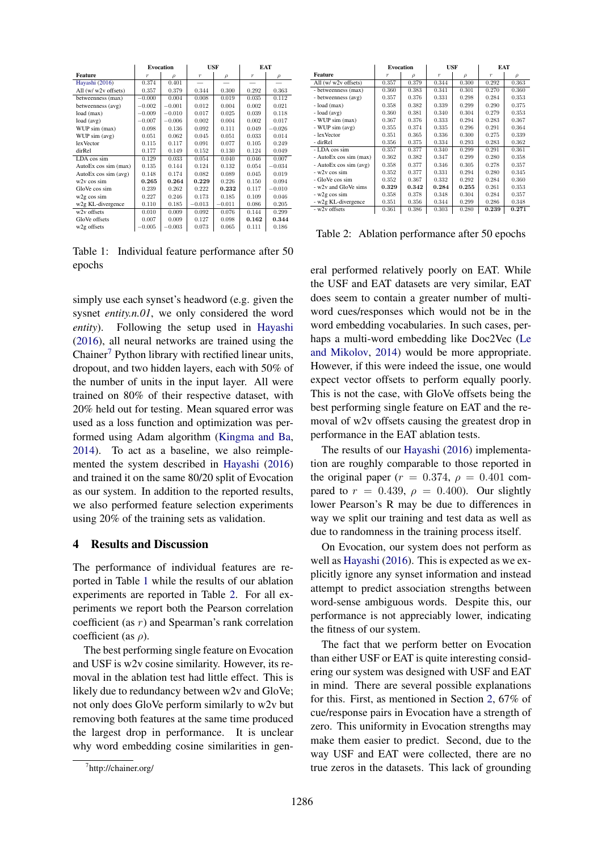|                          | <b>Evocation</b> |          | <b>USF</b> |          | <b>EAT</b>       |          |
|--------------------------|------------------|----------|------------|----------|------------------|----------|
| Feature                  | $\tau$           | $\rho$   | $\tau$     | $\rho$   | $\boldsymbol{r}$ | $\rho$   |
| Hayashi (2016)           | 0.374            | 0.401    |            |          |                  |          |
| All (w/w2v offsets)      | 0.357            | 0.379    | 0.344      | 0.300    | 0.292            | 0.363    |
| betweenness (max)        | $-0.000$         | 0.004    | 0.008      | 0.019    | 0.035            | 0.112    |
| betweenness (avg)        | $-0.002$         | $-0.001$ | 0.012      | 0.004    | 0.002            | 0.021    |
| load (max)               | $-0.009$         | $-0.010$ | 0.017      | 0.025    | 0.039            | 0.118    |
| load (avg)               | $-0.007$         | $-0.006$ | 0.002      | 0.004    | 0.002            | 0.017    |
| WUP sim (max)            | 0.098            | 0.136    | 0.092      | 0.111    | 0.049            | $-0.026$ |
| WUP sim (avg)            | 0.051            | 0.062    | 0.045      | 0.051    | 0.033            | 0.014    |
| lexVector                | 0.115            | 0.117    | 0.091      | 0.077    | 0.105            | 0.249    |
| dirRel                   | 0.177            | 0.149    | 0.152      | 0.130    | 0.124            | 0.049    |
| LDA cos sim              | 0.129            | 0.033    | 0.054      | 0.040    | 0.046            | 0.007    |
| AutoEx cos sim (max)     | 0.135            | 0.144    | 0.124      | 0.132    | 0.054            | $-0.034$ |
| AutoEx cos sim (avg)     | 0.148            | 0.174    | 0.082      | 0.089    | 0.045            | 0.019    |
| $w2v \cos \sin$          | 0.265            | 0.264    | 0.229      | 0.226    | 0.150            | 0.094    |
| GloVe cos sim            | 0.239            | 0.262    | 0.222      | 0.232    | 0.117            | $-0.010$ |
| w <sub>2g</sub> cos sim  | 0.227            | 0.246    | 0.173      | 0.185    | 0.109            | 0.046    |
| w2g KL-divergence        | 0.110            | 0.185    | $-0.013$   | $-0.011$ | 0.086            | 0.205    |
| w <sub>2v</sub> offsets  | 0.010            | 0.009    | 0.092      | 0.076    | 0.144            | 0.299    |
| GloVe offsets            | 0.007            | 0.009    | 0.127      | 0.098    | 0.162            | 0.344    |
| w <sub>2</sub> g offsets | $-0.005$         | $-0.003$ | 0.073      | 0.065    | 0.111            | 0.186    |

Table 1: Individual feature performance after 50 epochs

simply use each synset's headword (e.g. given the sysnet *entity.n.01*, we only considered the word *entity*). Following the setup used in Hayashi (2016), all neural networks are trained using the Chainer<sup>7</sup> Python library with rectified linear units, dropout, and two hidden layers, each with 50% of the number of units in the input layer. All were trained on 80% of their respective dataset, with 20% held out for testing. Mean squared error was used as a loss function and optimization was performed using Adam algorithm (Kingma and Ba, 2014). To act as a baseline, we also reimplemented the system described in Hayashi (2016) and trained it on the same 80/20 split of Evocation as our system. In addition to the reported results, we also performed feature selection experiments using 20% of the training sets as validation.

#### 4 Results and Discussion

The performance of individual features are reported in Table 1 while the results of our ablation experiments are reported in Table 2. For all experiments we report both the Pearson correlation coefficient (as r) and Spearman's rank correlation coefficient (as  $\rho$ ).

The best performing single feature on Evocation and USF is w2v cosine similarity. However, its removal in the ablation test had little effect. This is likely due to redundancy between w2v and GloVe; not only does GloVe perform similarly to w2v but removing both features at the same time produced the largest drop in performance. It is unclear why word embedding cosine similarities in gen-

|                        | <b>Evocation</b> |               | USF              |       | EAT              |               |
|------------------------|------------------|---------------|------------------|-------|------------------|---------------|
| Feature                | $\tau$           | $\mathcal{D}$ | $\boldsymbol{r}$ | ρ     | $\boldsymbol{r}$ | $\mathcal{D}$ |
| All $(w/w2v$ offsets)  | 0.357            | 0.379         | 0.344            | 0.300 | 0.292            | 0.363         |
| - betweenness (max)    | 0.360            | 0.383         | 0.341            | 0.301 | 0.270            | 0.360         |
| - betweenness (avg)    | 0.357            | 0.376         | 0.331            | 0.298 | 0.284            | 0.353         |
| $-$ load $(max)$       | 0.358            | 0.382         | 0.339            | 0.299 | 0.290            | 0.375         |
| $-$ load $(avg)$       | 0.360            | 0.381         | 0.340            | 0.304 | 0.279            | 0.353         |
| - WUP sim (max)        | 0.367            | 0.376         | 0.333            | 0.294 | 0.283            | 0.367         |
| - WUP sim (avg)        | 0.355            | 0.374         | 0.335            | 0.296 | 0.291            | 0.364         |
| - lexVector            | 0.351            | 0.365         | 0.336            | 0.300 | 0.275            | 0.339         |
| - dirRel               | 0.356            | 0.375         | 0.334            | 0.293 | 0.283            | 0.362         |
| - LDA cos sim          | 0.357            | 0.377         | 0.340            | 0.299 | 0.291            | 0.361         |
| - AutoEx cos sim (max) | 0.362            | 0.382         | 0.347            | 0.299 | 0.280            | 0.358         |
| - AutoEx cos sim (avg) | 0.358            | 0.377         | 0.346            | 0.305 | 0.278            | 0.357         |
| $-w2v \cos \sin$       | 0.352            | 0.377         | 0.331            | 0.294 | 0.280            | 0.345         |
| - GloVe cos sim        | 0.352            | 0.367         | 0.332            | 0.292 | 0.284            | 0.360         |
| - w2y and GloVe sims   | 0.329            | 0.342         | 0.284            | 0.255 | 0.261            | 0.353         |
| - w2g cos sim          | 0.358            | 0.378         | 0.348            | 0.304 | 0.284            | 0.357         |
| - w2g KL-divergence    | 0.351            | 0.356         | 0.344            | 0.299 | 0.286            | 0.348         |
| - w2v offsets          | 0.361            | 0.386         | 0.303            | 0.280 | 0.239            | 0.271         |

Table 2: Ablation performance after 50 epochs

eral performed relatively poorly on EAT. While the USF and EAT datasets are very similar, EAT does seem to contain a greater number of multiword cues/responses which would not be in the word embedding vocabularies. In such cases, perhaps a multi-word embedding like Doc2Vec (Le and Mikolov, 2014) would be more appropriate. However, if this were indeed the issue, one would expect vector offsets to perform equally poorly. This is not the case, with GloVe offsets being the best performing single feature on EAT and the removal of w2v offsets causing the greatest drop in performance in the EAT ablation tests.

The results of our Hayashi (2016) implementation are roughly comparable to those reported in the original paper ( $r = 0.374$ ,  $\rho = 0.401$  compared to  $r = 0.439$ ,  $\rho = 0.400$ ). Our slightly lower Pearson's R may be due to differences in way we split our training and test data as well as due to randomness in the training process itself.

On Evocation, our system does not perform as well as Hayashi (2016). This is expected as we explicitly ignore any synset information and instead attempt to predict association strengths between word-sense ambiguous words. Despite this, our performance is not appreciably lower, indicating the fitness of our system.

The fact that we perform better on Evocation than either USF or EAT is quite interesting considering our system was designed with USF and EAT in mind. There are several possible explanations for this. First, as mentioned in Section 2, 67% of cue/response pairs in Evocation have a strength of zero. This uniformity in Evocation strengths may make them easier to predict. Second, due to the way USF and EAT were collected, there are no true zeros in the datasets. This lack of grounding

<sup>7</sup> http://chainer.org/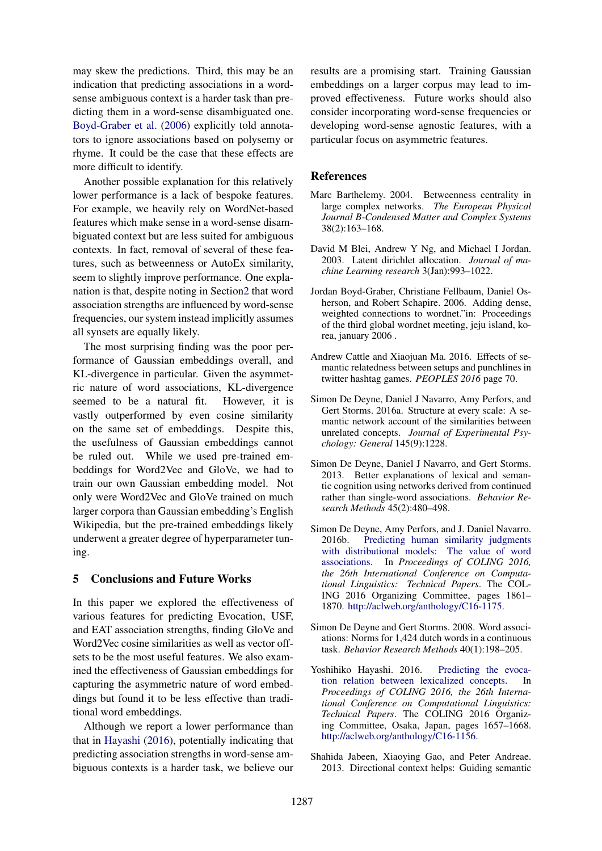may skew the predictions. Third, this may be an indication that predicting associations in a wordsense ambiguous context is a harder task than predicting them in a word-sense disambiguated one. Boyd-Graber et al. (2006) explicitly told annotators to ignore associations based on polysemy or rhyme. It could be the case that these effects are more difficult to identify.

Another possible explanation for this relatively lower performance is a lack of bespoke features. For example, we heavily rely on WordNet-based features which make sense in a word-sense disambiguated context but are less suited for ambiguous contexts. In fact, removal of several of these features, such as betweenness or AutoEx similarity, seem to slightly improve performance. One explanation is that, despite noting in Section2 that word association strengths are influenced by word-sense frequencies, our system instead implicitly assumes all synsets are equally likely.

The most surprising finding was the poor performance of Gaussian embeddings overall, and KL-divergence in particular. Given the asymmetric nature of word associations, KL-divergence seemed to be a natural fit. However, it is vastly outperformed by even cosine similarity on the same set of embeddings. Despite this, the usefulness of Gaussian embeddings cannot be ruled out. While we used pre-trained embeddings for Word2Vec and GloVe, we had to train our own Gaussian embedding model. Not only were Word2Vec and GloVe trained on much larger corpora than Gaussian embedding's English Wikipedia, but the pre-trained embeddings likely underwent a greater degree of hyperparameter tuning.

# 5 Conclusions and Future Works

In this paper we explored the effectiveness of various features for predicting Evocation, USF, and EAT association strengths, finding GloVe and Word2Vec cosine similarities as well as vector offsets to be the most useful features. We also examined the effectiveness of Gaussian embeddings for capturing the asymmetric nature of word embeddings but found it to be less effective than traditional word embeddings.

Although we report a lower performance than that in Hayashi (2016), potentially indicating that predicting association strengths in word-sense ambiguous contexts is a harder task, we believe our

results are a promising start. Training Gaussian embeddings on a larger corpus may lead to improved effectiveness. Future works should also consider incorporating word-sense frequencies or developing word-sense agnostic features, with a particular focus on asymmetric features.

#### **References**

- Marc Barthelemy. 2004. Betweenness centrality in large complex networks. *The European Physical Journal B-Condensed Matter and Complex Systems* 38(2):163–168.
- David M Blei, Andrew Y Ng, and Michael I Jordan. 2003. Latent dirichlet allocation. *Journal of machine Learning research* 3(Jan):993–1022.
- Jordan Boyd-Graber, Christiane Fellbaum, Daniel Osherson, and Robert Schapire. 2006. Adding dense, weighted connections to wordnet."in: Proceedings of the third global wordnet meeting, jeju island, korea, january 2006 .
- Andrew Cattle and Xiaojuan Ma. 2016. Effects of semantic relatedness between setups and punchlines in twitter hashtag games. *PEOPLES 2016* page 70.
- Simon De Deyne, Daniel J Navarro, Amy Perfors, and Gert Storms. 2016a. Structure at every scale: A semantic network account of the similarities between unrelated concepts. *Journal of Experimental Psychology: General* 145(9):1228.
- Simon De Deyne, Daniel J Navarro, and Gert Storms. 2013. Better explanations of lexical and semantic cognition using networks derived from continued rather than single-word associations. *Behavior Research Methods* 45(2):480–498.
- Simon De Deyne, Amy Perfors, and J. Daniel Navarro. 2016b. Predicting human similarity judgments with distributional models: The value of word associations. In *Proceedings of COLING 2016*, In *Proceedings of COLING 2016*, *the 26th International Conference on Computational Linguistics: Technical Papers*. The COL-ING 2016 Organizing Committee, pages 1861– 1870. http://aclweb.org/anthology/C16-1175.
- Simon De Deyne and Gert Storms. 2008. Word associations: Norms for 1,424 dutch words in a continuous task. *Behavior Research Methods* 40(1):198–205.
- Yoshihiko Hayashi. 2016. Predicting the evocation relation between lexicalized concepts. In *Proceedings of COLING 2016, the 26th International Conference on Computational Linguistics: Technical Papers*. The COLING 2016 Organizing Committee, Osaka, Japan, pages 1657–1668. http://aclweb.org/anthology/C16-1156.
- Shahida Jabeen, Xiaoying Gao, and Peter Andreae. 2013. Directional context helps: Guiding semantic